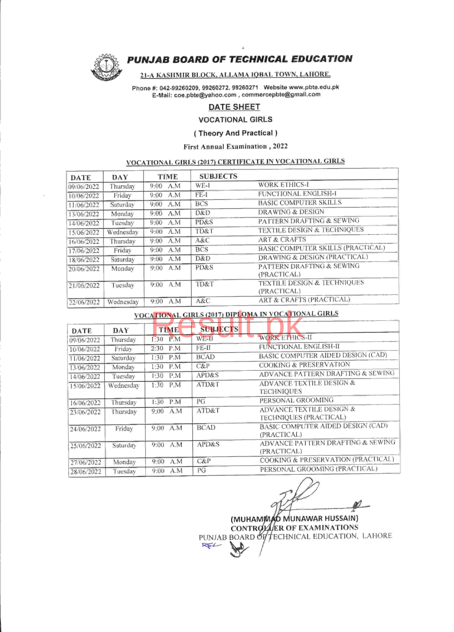

# PUNJAB BOARD OF TECHNICAL EDUCATION

### 2I-A KASHMIR BLOCK. ALLAMA IOBAL TOWN. LAHORE.

Phone #: 042-99260209, 99260272, 99260271 Website www.pbte.edu.pk E-Mail : coe.pbte@yahoo.com, commercepbte@gmail.com

# DATE SHEET

VOCATIONAL GIRLS

### ( Theory And Practical )

### First Annual Examination, 2022

# VOCATIONAL GIRLS (2011 CERTIFICATE IN VOCATIONAL GIRLS

| DATE       | DAY       | TIME        | <b>SUBJECTS</b> |                                        |
|------------|-----------|-------------|-----------------|----------------------------------------|
| 09/06/2022 | Thursday  | A.M<br>9:00 | WE-1            | <b>WORK ETHICS-I</b>                   |
| 10/06/2022 | Friday    | A.M<br>9:00 | $FE-1$          | FUNCTIONAL ENGLISH-I                   |
| 11/06/2022 | Saturday  | A.M<br>9:00 | <b>BCS</b>      | <b>BASIC COMPUTER SKILLS</b>           |
| 13/06/2022 | Monday    | 9:00 A.M    | D&D             | <b>DRAWING &amp; DESIGN</b>            |
| 14/06/2022 | Tuesdav   | A.M<br>9:00 | PD&S            | PATTERN DRAFTING & SEWING              |
| 15/06/2022 | Wednesday | 9:00 A.M    | TD&T            | <b>TEXTILE DESIGN &amp; TECHNIQUES</b> |
| 16/06/2022 | Thursday  | $9:00.$ A.M | A&C             | <b>ART &amp; CRAFTS</b>                |
| 17/06/2022 | Friday    | 9:00<br>A.M | <b>BCS</b>      | BASIC COMPUTER SKILLS (PRACTICAL)      |
| 18/06/2022 | Saturday  | 9:00<br>A.M | D&D             | DRAWING & DESIGN (PRACTICAL)           |
| 20/06/2022 | Monday    | A.M<br>9:00 | PD&S            | PATTERN DRAFTING & SEWING              |
|            |           |             |                 | (PRACTICAL)                            |
| 21/06/2022 | Tuesdav   | A.M<br>9:00 | TD&T            | TEXTILE DESIGN & TECHNIQUES            |
|            |           |             |                 | (PRACTICAL)                            |
| 22/06/2022 | Wednesday | 9:00<br>A.M | A&C             | ART & CRAFTS (PRACTICAL)               |

| VOCATIONAL GIRLS (2017) DIPLOMA IN VOCATIONAL GIRLS |           |             |                  |                                          |  |  |  |
|-----------------------------------------------------|-----------|-------------|------------------|------------------------------------------|--|--|--|
| <b>DATE</b>                                         | DAY       | <b>TIME</b> | <b>SUBJECTS</b>  |                                          |  |  |  |
| 09/06/2022                                          | Thursday  | P.M<br>1:30 | $WE-11$          | WORK ETHICS-II                           |  |  |  |
| 10/06/2022                                          | Friday    | 2:30<br>P.M | FE-II            | FUNCTIONAL ENGLISH-II                    |  |  |  |
| 11/06/2022                                          | Saturday  | 1:30<br>P.M | <b>BCAD</b>      | BASIC COMPUTER AIDED DESIGN (CAD)        |  |  |  |
| 13/06/2022                                          | Monday    | P.M<br>1:30 | C&P              | <b>COOKING &amp; PRESERVATION</b>        |  |  |  |
| 14/06/2022                                          | Tuesday   | P.M<br>1:30 | APD&S            | ADVANCE PATTERN DRAFTING & SEWING        |  |  |  |
| 15/06/2022                                          | Wednesday | 1:30<br>P.M | ATD&T            | ADVANCE TEXTILE DESIGN &                 |  |  |  |
|                                                     |           |             |                  | <b>TECHNIOUES</b>                        |  |  |  |
| 16/06/2022                                          | Thursday  | P.M<br>1:30 | PG               | PERSONAL GROOMING                        |  |  |  |
| 23/06/2022                                          | Thursday  | $9:00$ A.M  | ATD&T            | ADVANCE TEXTILE DESIGN &                 |  |  |  |
|                                                     |           |             |                  | TECHNIQUES (PRACTICAL)                   |  |  |  |
| 24/06/2022                                          | Friday    | $9:00$ A.M  | <b>BCAD</b>      | <b>BASIC COMPUTER AIDED DESIGN (CAD)</b> |  |  |  |
|                                                     |           |             |                  | (PRACTICAL)                              |  |  |  |
| 25/06/2022                                          | Saturday  | A.M<br>9:00 | <b>APD&amp;S</b> | ADVANCE PATTERN DRAFTING & SEWING        |  |  |  |
|                                                     |           |             |                  | (PRACTICAL)                              |  |  |  |
| 27/06/2022                                          | Monday    | 9:00<br>A.M | C&P              | COOKING & PRESERVATION (PRACTICAL)       |  |  |  |
| 28/06/2022                                          | Tuesday   | A.M<br>9:00 | РG               | PERSONAL GROOMING (PRACTICAL)            |  |  |  |

(MUHAMMAD MUNAWAR HUSSAIN) CONTROLLER OF EXAMINATIONS RW-1-BOARD OF TECHNICAL EDUCATION, LAHORE  $\mathbb{R}$